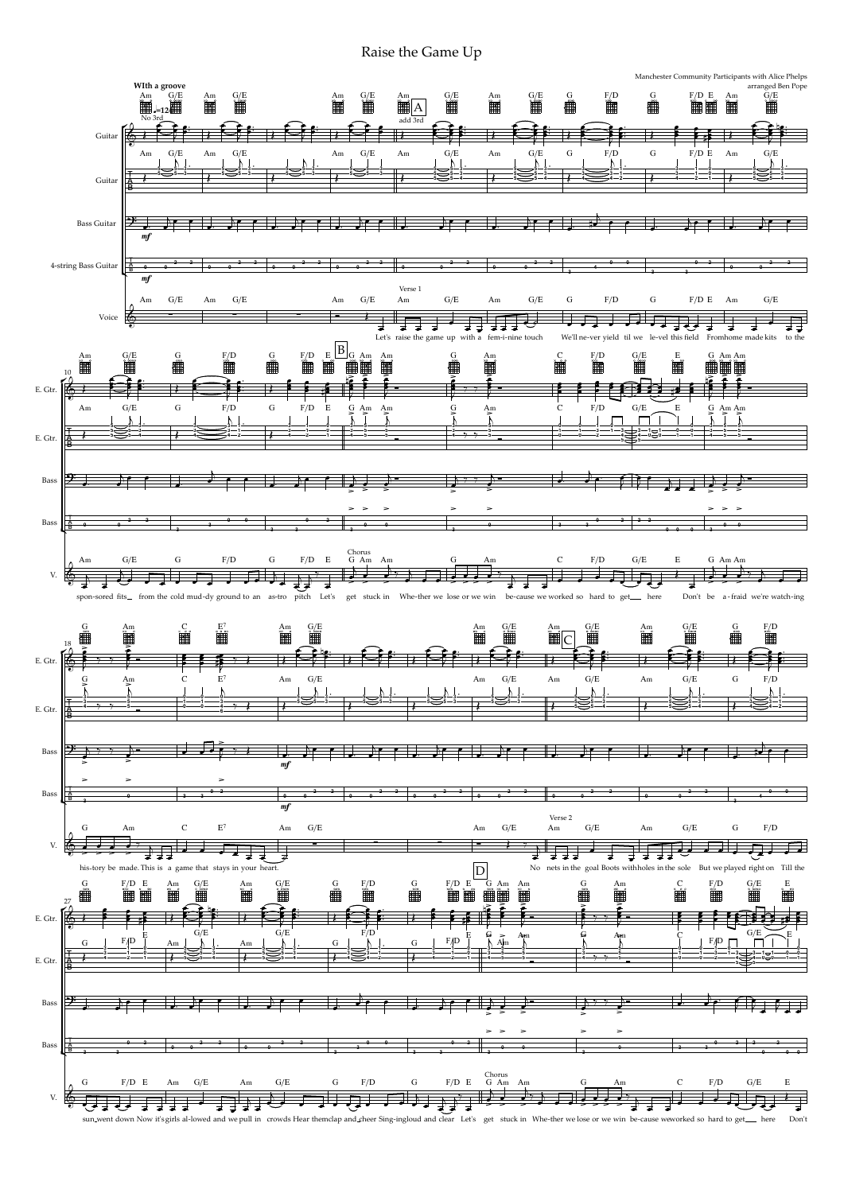

here Don't

Raise the Game Up